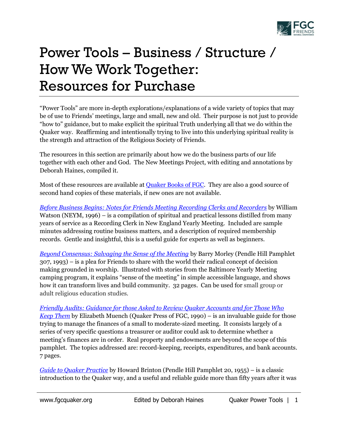

## Power Tools – Business / Structure / How We Work Together: Resources for Purchase

"Power Tools" are more in-depth explorations/explanations of a wide variety of topics that may be of use to Friends' meetings, large and small, new and old. Their purpose is not just to provide "how to" guidance, but to make explicit the spiritual Truth underlying all that we do within the Quaker way. Reaffirming and intentionally trying to live into this underlying spiritual reality is the strength and attraction of the Religious Society of Friends.

The resources in this section are primarily about how we do the business parts of our life together with each other and God. The New Meetings Project, with editing and annotations by Deborah Haines, compiled it.

Most of these resources are available at **Quaker Books of FGC**. They are also a good source of second hand copies of these materials, if new ones are not available.

*Before Business Begins: [Notes for Friends Meeting Recording Clerks and Recorders](https://www.quakerbooks.org/book/business-begins)* by William Watson (NEYM, 1996) – is a compilation of spiritual and practical lessons distilled from many years of service as a Recording Clerk in New England Yearly Meeting. Included are sample minutes addressing routine business matters, and a description of required membership records. Gentle and insightful, this is a useful guide for experts as well as beginners.

*[Beyond Consensus: Salvaging the Sense of the Meeting](https://www.quakerbooks.org/book/beyond-consensus-salvaging-sense-meeting)* by Barry Morley (Pendle Hill Pamphlet 307, 1993) – is a plea for Friends to share with the world their radical concept of decision making grounded in worship. Illustrated with stories from the Baltimore Yearly Meeting camping program, it explains "sense of the meeting" in simple accessible language, and shows how it can transform lives and build community. 32 pages. Can be used for small group or adult religious education studies.

*[Friendly Audits: Guidance for those Asked to Review Quaker Accounts and for Those Who](https://www.quakerbooks.org/book/friendly-audits)  [Keep Them](https://www.quakerbooks.org/book/friendly-audits)* by Elizabeth Muench (Quaker Press of FGC, 1990) – is an invaluable guide for those trying to manage the finances of a small to moderate-sized meeting. It consists largely of a series of very specific questions a treasurer or auditor could ask to determine whether a meeting's finances are in order. Real property and endowments are beyond the scope of this pamphlet. The topics addressed are: record-keeping, receipts, expenditures, and bank accounts. 7 pages.

*[Guide to Quaker Practice](https://www.quakerbooks.org/book/guide-quaker-practice)* by Howard Brinton (Pendle Hill Pamphlet 20, 1955) – is a classic introduction to the Quaker way, and a useful and reliable guide more than fifty years after it was